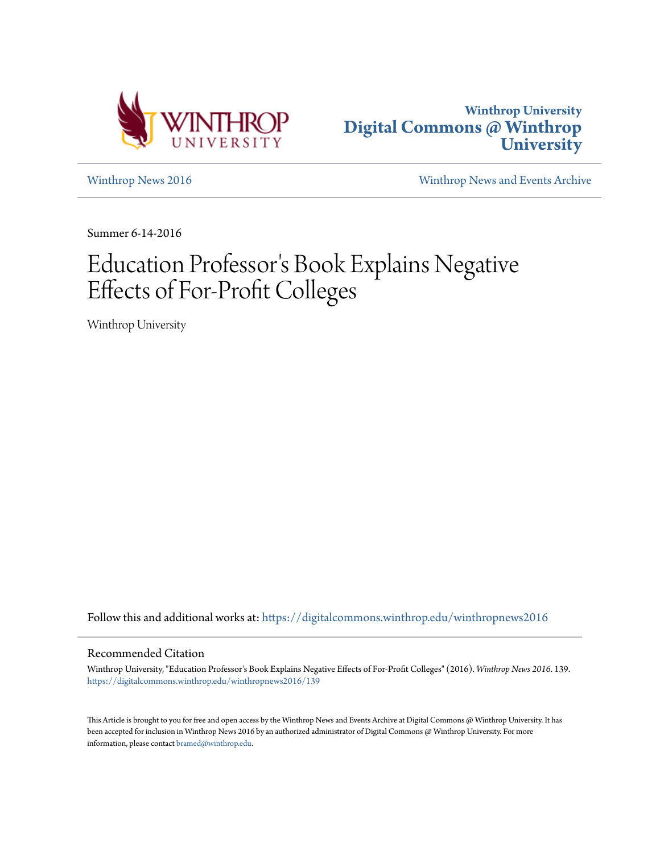



[Winthrop News 2016](https://digitalcommons.winthrop.edu/winthropnews2016?utm_source=digitalcommons.winthrop.edu%2Fwinthropnews2016%2F139&utm_medium=PDF&utm_campaign=PDFCoverPages) [Winthrop News and Events Archive](https://digitalcommons.winthrop.edu/winthropnewsarchives?utm_source=digitalcommons.winthrop.edu%2Fwinthropnews2016%2F139&utm_medium=PDF&utm_campaign=PDFCoverPages)

Summer 6-14-2016

# Education Professor 's Book Explains Negative Effects of For-Profit Colleges

Winthrop University

Follow this and additional works at: [https://digitalcommons.winthrop.edu/winthropnews2016](https://digitalcommons.winthrop.edu/winthropnews2016?utm_source=digitalcommons.winthrop.edu%2Fwinthropnews2016%2F139&utm_medium=PDF&utm_campaign=PDFCoverPages)

### Recommended Citation

Winthrop University, "Education Professor's Book Explains Negative Effects of For-Profit Colleges" (2016). *Winthrop News 2016*. 139. [https://digitalcommons.winthrop.edu/winthropnews2016/139](https://digitalcommons.winthrop.edu/winthropnews2016/139?utm_source=digitalcommons.winthrop.edu%2Fwinthropnews2016%2F139&utm_medium=PDF&utm_campaign=PDFCoverPages)

This Article is brought to you for free and open access by the Winthrop News and Events Archive at Digital Commons @ Winthrop University. It has been accepted for inclusion in Winthrop News 2016 by an authorized administrator of Digital Commons @ Winthrop University. For more information, please contact [bramed@winthrop.edu](mailto:bramed@winthrop.edu).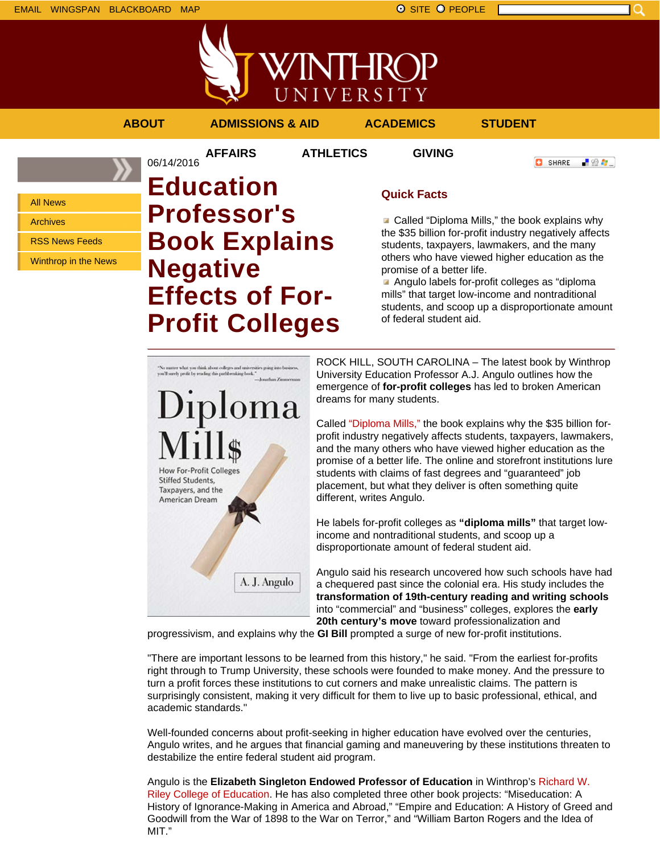

**AFFAIRS ATHLETICS GIVING**

**ABOUT ADMISSIONS & AID ACADEMICS STUDENT**

**C** SHARE

上没有。

All News

Archives

RSS News Feeds

Winthrop in the News

## 06/14/2016 **Education Professor's Book Explains Negative Effects of For-Profit Colleges**

## **Quick Facts**

■ Called "Diploma Mills," the book explains why the \$35 billion for-profit industry negatively affects students, taxpayers, lawmakers, and the many others who have viewed higher education as the promise of a better life.

Angulo labels for-profit colleges as "diploma mills" that target low-income and nontraditional students, and scoop up a disproportionate amount of federal student aid.



ROCK HILL, SOUTH CAROLINA – The latest book by Winthrop University Education Professor A.J. Angulo outlines how the emergence of **for-profit colleges** has led to broken American dreams for many students.

Called "Diploma Mills," the book explains why the \$35 billion forprofit industry negatively affects students, taxpayers, lawmakers, and the many others who have viewed higher education as the promise of a better life. The online and storefront institutions lure students with claims of fast degrees and "guaranteed" job placement, but what they deliver is often something quite different, writes Angulo.

He labels for-profit colleges as **"diploma mills"** that target lowincome and nontraditional students, and scoop up a disproportionate amount of federal student aid.

Angulo said his research uncovered how such schools have had a chequered past since the colonial era. His study includes the **transformation of 19th-century reading and writing schools** into "commercial" and "business" colleges, explores the **early 20th century's move** toward professionalization and

progressivism, and explains why the **GI Bill** prompted a surge of new for-profit institutions.

"There are important lessons to be learned from this history," he said. "From the earliest for-profits right through to Trump University, these schools were founded to make money. And the pressure to turn a profit forces these institutions to cut corners and make unrealistic claims. The pattern is surprisingly consistent, making it very difficult for them to live up to basic professional, ethical, and academic standards."

Well-founded concerns about profit-seeking in higher education have evolved over the centuries, Angulo writes, and he argues that financial gaming and maneuvering by these institutions threaten to destabilize the entire federal student aid program.

Angulo is the **Elizabeth Singleton Endowed Professor of Education** in Winthrop's Richard W. Riley College of Education. He has also completed three other book projects: "Miseducation: A History of Ignorance-Making in America and Abroad," "Empire and Education: A History of Greed and Goodwill from the War of 1898 to the War on Terror," and "William Barton Rogers and the Idea of MIT."